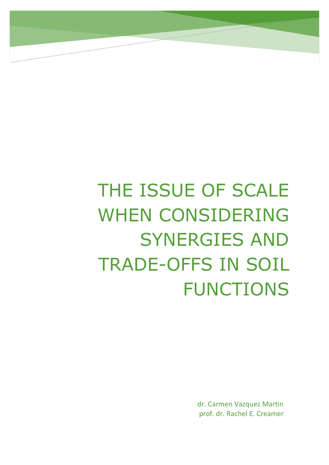# THE ISSUE OF SCALE WHEN CONSIDERING SYNERGIES AND TRADE-OFFS IN SOIL FUNCTIONS

dr. Carmen Vazquez Martin prof. dr. Rachel E. Creamer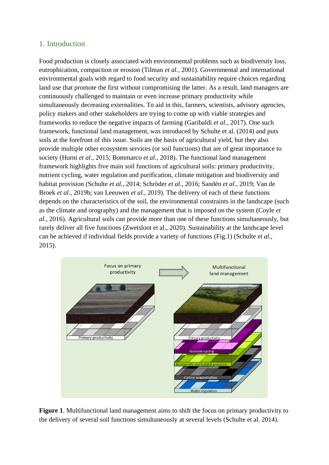# 1. Introduction

Food production is closely associated with environmental problems such as biodiversity loss, eutrophication, compaction or erosion (Tilman *et al.*, 2001). Governmental and international environmental goals with regard to food security and sustainability require choices regarding land use that promote the first without compromising the latter. As a result, land managers are continuously challenged to maintain or even increase primary productivity while simultaneously decreasing externalities. To aid in this, farmers, scientists, advisory agencies, policy makers and other stakeholders are trying to come up with viable strategies and frameworks to reduce the negative impacts of farming (Garibaldi *et al.*, 2017). One such framework, functional land management, was introduced by Schulte et al. (2014) and puts soils at the forefront of this issue. Soils are the basis of agricultural yield, but they also provide multiple other ecosystem services (or soil functions) that are of great importance to society (Hurni *et al.*, 2015; Bommarco *et al.*, 2018). The functional land management framework highlights five main soil functions of agricultural soils: primary productivity, nutrient cycling, water regulation and purification, climate mitigation and biodiversity and habitat provision (Schulte *et al.*, 2014; Schröder *et al.*, 2016; Sandén *et al.*, 2019; Van de Broek *et al.*, 2019b; van Leeuwen *et al.*, 2019). The delivery of each of these functions depends on the characteristics of the soil, the environmental constraints in the landscape (such as the climate and orography) and the management that is imposed on the system (Coyle *et al.*, 2016). Agricultural soils can provide more than one of these functions simultaneously, but rarely deliver all five functions (Zwetsloot et al., 2020). Sustainability at the landscape level can be achieved if individual fields provide a variety of functions (Fig.1) (Schulte *et al.*, 2015).



**Figure 1**. Multifunctional land management aims to shift the focus on primary productivity to the delivery of several soil functions simultaneously at several levels (Schulte et al. 2014).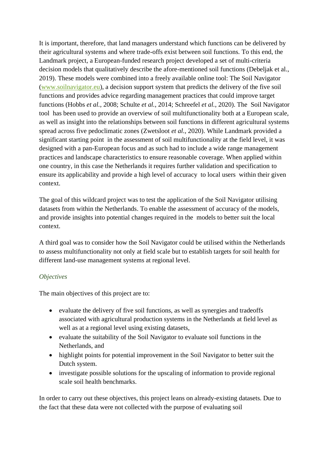It is important, therefore, that land managers understand which functions can be delivered by their agricultural systems and where trade-offs exist between soil functions. To this end, the Landmark project, a European-funded research project developed a set of multi-criteria decision models that qualitatively describe the afore-mentioned soil functions (Debeljak et al., 2019). These models were combined into a freely available online tool: The Soil Navigator [\(www.soilnavigator.eu\)](http://www.soilnavigator.eu/), a decision support system that predicts the delivery of the five soil functions and provides advice regarding management practices that could improve target functions (Hobbs *et al.*, 2008; Schulte *et al.*, 2014; Schreefel *et al.*, 2020). The Soil Navigator tool has been used to provide an overview of soil multifunctionality both at a European scale, as well as insight into the relationships between soil functions in different agricultural systems spread across five pedoclimatic zones (Zwetsloot *et al.*, 2020). While Landmark provided a significant starting point in the assessment of soil multifunctionality at the field level, it was designed with a pan-European focus and as such had to include a wide range management practices and landscape characteristics to ensure reasonable coverage. When applied within one country, in this case the Netherlands it requires further validation and specification to ensure its applicability and provide a high level of accuracy to local users within their given context.

The goal of this wildcard project was to test the application of the Soil Navigator utilising datasets from within the Netherlands. To enable the assessment of accuracy of the models, and provide insights into potential changes required in the models to better suit the local context.

A third goal was to consider how the Soil Navigator could be utilised within the Netherlands to assess multifunctionality not only at field scale but to establish targets for soil health for different land-use management systems at regional level.

#### *Objectives*

The main objectives of this project are to:

- evaluate the delivery of five soil functions, as well as synergies and tradeoffs associated with agricultural production systems in the Netherlands at field level as well as at a regional level using existing datasets,
- evaluate the suitability of the Soil Navigator to evaluate soil functions in the Netherlands, and
- highlight points for potential improvement in the Soil Navigator to better suit the Dutch system.
- investigate possible solutions for the upscaling of information to provide regional scale soil health benchmarks.

In order to carry out these objectives, this project leans on already-existing datasets. Due to the fact that these data were not collected with the purpose of evaluating soil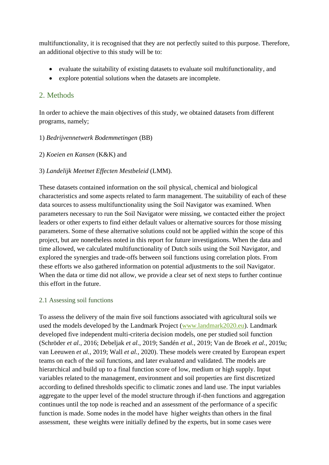multifunctionality, it is recognised that they are not perfectly suited to this purpose. Therefore, an additional objective to this study will be to:

- evaluate the suitability of existing datasets to evaluate soil multifunctionality, and
- explore potential solutions when the datasets are incomplete.

# 2. Methods

In order to achieve the main objectives of this study, we obtained datasets from different programs, namely;

# 1) *Bedrijvennetwerk Bodemmetingen* (BB)

# 2) *Koeien en Kansen* (K&K) and

# 3) *Landelijk Meetnet Effecten Mestbeleid* (LMM).

These datasets contained information on the soil physical, chemical and biological characteristics and some aspects related to farm management. The suitability of each of these data sources to assess multifunctionality using the Soil Navigator was examined. When parameters necessary to run the Soil Navigator were missing, we contacted either the project leaders or other experts to find either default values or alternative sources for those missing parameters. Some of these alternative solutions could not be applied within the scope of this project, but are nonetheless noted in this report for future investigations. When the data and time allowed, we calculated multifunctionality of Dutch soils using the Soil Navigator, and explored the synergies and trade-offs between soil functions using correlation plots. From these efforts we also gathered information on potential adjustments to the soil Navigator. When the data or time did not allow, we provide a clear set of next steps to further continue this effort in the future.

# 2.1 Assessing soil functions

To assess the delivery of the main five soil functions associated with agricultural soils we used the models developed by the Landmark Project [\(www.landmark2020.eu\)](http://www.landmark2020.eu/). Landmark developed five independent multi-criteria decision models, one per studied soil function (Schröder *et al.*, 2016; Debeljak *et al.*, 2019; Sandén *et al.*, 2019; Van de Broek *et al.*, 2019a; van Leeuwen *et al.*, 2019; Wall *et al.*, 2020). These models were created by European expert teams on each of the soil functions, and later evaluated and validated. The models are hierarchical and build up to a final function score of low, medium or high supply. Input variables related to the management, environment and soil properties are first discretized according to defined thresholds specific to climatic zones and land use. The input variables aggregate to the upper level of the model structure through if-then functions and aggregation continues until the top node is reached and an assessment of the performance of a specific function is made. Some nodes in the model have higher weights than others in the final assessment, these weights were initially defined by the experts, but in some cases were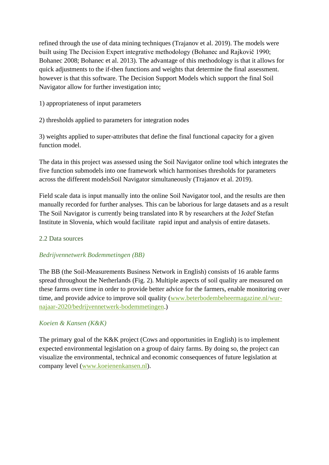refined through the use of data mining techniques (Trajanov et al. 2019). The models were built using The Decision Expert integrative methodology (Bohanec and Rajkovič 1990; Bohanec 2008; Bohanec et al. 2013). The advantage of this methodology is that it allows for quick adjustments to the if-then functions and weights that determine the final assessment. however is that this software. The Decision Support Models which support the final Soil Navigator allow for further investigation into;

- 1) appropriateness of input parameters
- 2) thresholds applied to parameters for integration nodes

3) weights applied to super-attributes that define the final functional capacity for a given function model.

The data in this project was assessed using the Soil Navigator online tool which integrates the five function submodels into one framework which harmonises thresholds for parameters across the different modelsSoil Navigator simultaneously (Trajanov et al. 2019).

Field scale data is input manually into the online Soil Navigator tool, and the results are then manually recorded for further analyses. This can be laborious for large datasets and as a result The Soil Navigator is currently being translated into R by researchers at the Jožef Stefan Institute in Slovenia, which would facilitate rapid input and analysis of entire datasets.

#### 2.2 Data sources

#### *Bedrijvennetwerk Bodemmetingen (BB)*

The BB (the Soil-Measurements Business Network in English) consists of 16 arable farms spread throughout the Netherlands (Fig. 2). Multiple aspects of soil quality are measured on these farms over time in order to provide better advice for the farmers, enable monitoring over time, and provide advice to improve soil quality [\(www.beterbodembeheermagazine.nl/wur](http://www.beterbodembeheermagazine.nl/wur-najaar-2020/bedrijvennetwerk-bodemmetingen)[najaar-2020/bedrijvennetwerk-bodemmetingen.](http://www.beterbodembeheermagazine.nl/wur-najaar-2020/bedrijvennetwerk-bodemmetingen))

# *Koeien & Kansen (K&K)*

The primary goal of the K&K project (Cows and opportunities in English) is to implement expected environmental legislation on a group of dairy farms. By doing so, the project can visualize the environmental, technical and economic consequences of future legislation at company level [\(www.koeienenkansen.nl\)](http://www.koeienenkansen.nl/).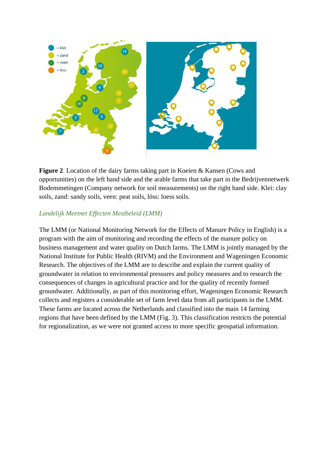

**Figure 2**. Location of the dairy farms taking part in Koeien & Kansen (Cows and opportunities) on the left hand side and the arable farms that take part in the Bedrijvennetwerk Bodemmetingen (Company network for soil measurements) on the right hand side. Klei: clay soils, zand: sandy soils, veen: peat soils, löss: loess soils.

#### *Landelijk Meetnet Effecten Mestbeleid (LMM)*

The LMM (or National Monitoring Network for the Effects of Manure Policy in English) is a program with the aim of monitoring and recording the effects of the manure policy on business management and water quality on Dutch farms. The LMM is jointly managed by the National Institute for Public Health (RIVM) and the Environment and Wageningen Economic Research. The objectives of the LMM are to describe and explain the current quality of groundwater in relation to environmental pressures and policy measures and to research the consequences of changes in agricultural practice and for the quality of recently formed groundwater. Additionally, as part of this monitoring effort, Wageningen Economic Research collects and registers a considerable set of farm level data from all participants in the LMM. These farms are located across the Netherlands and classified into the main 14 farming regions that have been defined by the LMM (Fig. 3). This classification restricts the potential for regionalization, as we were not granted access to more specific geospatial information.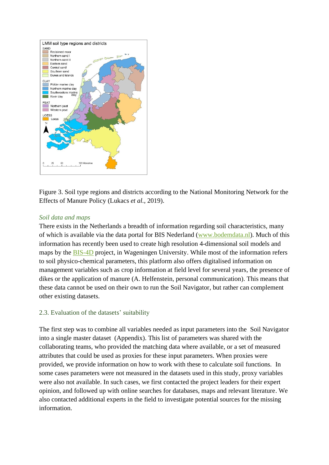

Figure 3. Soil type regions and districts according to the National Monitoring Network for the Effects of Manure Policy (Lukacs *et al.*, 2019).

#### *Soil data and maps*

There exists in the Netherlands a breadth of information regarding soil characteristics, many of which is available via the data portal for BIS Nederland [\(www.bodemdata.nl\)](http://www.bodemdata.nl/). Much of this information has recently been used to create high resolution 4-dimensional soil models and maps by the [BIS-4D](https://www.wur.nl/en/project/Developing-a-high-resolution-4-dimensional-soil-modelling-and-mapping-platform-for-the-Netherlands-BIS-4D.htm) project, in Wageningen University. While most of the information refers to soil physico-chemical parameters, this platform also offers digitalised information on management variables such as crop information at field level for several years, the presence of dikes or the application of manure (A. Helfenstein, personal communication). This means that these data cannot be used on their own to run the Soil Navigator, but rather can complement other existing datasets.

#### 2.3. Evaluation of the datasets' suitability

The first step was to combine all variables needed as input parameters into the Soil Navigator into a single master dataset (Appendix). This list of parameters was shared with the collaborating teams, who provided the matching data where available, or a set of measured attributes that could be used as proxies for these input parameters. When proxies were provided, we provide information on how to work with these to calculate soil functions. In some cases parameters were not measured in the datasets used in this study, proxy variables were also not available. In such cases, we first contacted the project leaders for their expert opinion, and followed up with online searches for databases, maps and relevant literature. We also contacted additional experts in the field to investigate potential sources for the missing information.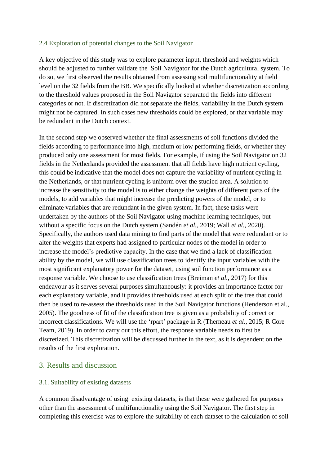#### 2.4 Exploration of potential changes to the Soil Navigator

A key objective of this study was to explore parameter input, threshold and weights which should be adjusted to further validate the Soil Navigator for the Dutch agricultural system. To do so, we first observed the results obtained from assessing soil multifunctionality at field level on the 32 fields from the BB. We specifically looked at whether discretization according to the threshold values proposed in the Soil Navigator separated the fields into different categories or not. If discretization did not separate the fields, variability in the Dutch system might not be captured. In such cases new thresholds could be explored, or that variable may be redundant in the Dutch context.

In the second step we observed whether the final assessments of soil functions divided the fields according to performance into high, medium or low performing fields, or whether they produced only one assessment for most fields. For example, if using the Soil Navigator on 32 fields in the Netherlands provided the assessment that all fields have high nutrient cycling, this could be indicative that the model does not capture the variability of nutrient cycling in the Netherlands, or that nutrient cycling is uniform over the studied area. A solution to increase the sensitivity to the model is to either change the weights of different parts of the models, to add variables that might increase the predicting powers of the model, or to eliminate variables that are redundant in the given system. In fact, these tasks were undertaken by the authors of the Soil Navigator using machine learning techniques, but without a specific focus on the Dutch system (Sandén *et al.*, 2019; Wall *et al.*, 2020). Specifically, the authors used data mining to find parts of the model that were redundant or to alter the weights that experts had assigned to particular nodes of the model in order to increase the model's predictive capacity. In the case that we find a lack of classification ability by the model, we will use classification trees to identify the input variables with the most significant explanatory power for the dataset, using soil function performance as a response variable. We choose to use classification trees (Breiman *et al.*, 2017) for this endeavour as it serves several purposes simultaneously: it provides an importance factor for each explanatory variable, and it provides thresholds used at each split of the tree that could then be used to re-assess the thresholds used in the Soil Navigator functions (Henderson et al., 2005). The goodness of fit of the classification tree is given as a probability of correct or incorrect classifications. We will use the 'rpart' package in R (Therneau *et al.*, 2015; R Core Team, 2019). In order to carry out this effort, the response variable needs to first be discretized. This discretization will be discussed further in the text, as it is dependent on the results of the first exploration.

#### 3. Results and discussion

#### 3.1. Suitability of existing datasets

A common disadvantage of using existing datasets, is that these were gathered for purposes other than the assessment of multifunctionality using the Soil Navigator. The first step in completing this exercise was to explore the suitability of each dataset to the calculation of soil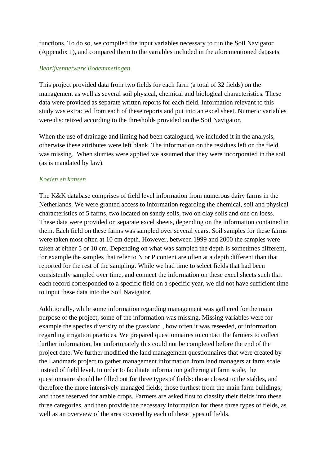functions. To do so, we compiled the input variables necessary to run the Soil Navigator (Appendix 1), and compared them to the variables included in the aforementioned datasets.

#### *Bedrijvennetwerk Bodemmetingen*

This project provided data from two fields for each farm (a total of 32 fields) on the management as well as several soil physical, chemical and biological characteristics. These data were provided as separate written reports for each field. Information relevant to this study was extracted from each of these reports and put into an excel sheet. Numeric variables were discretized according to the thresholds provided on the Soil Navigator.

When the use of drainage and liming had been catalogued, we included it in the analysis, otherwise these attributes were left blank. The information on the residues left on the field was missing. When slurries were applied we assumed that they were incorporated in the soil (as is mandated by law).

#### *Koeien en kansen*

The K&K database comprises of field level information from numerous dairy farms in the Netherlands. We were granted access to information regarding the chemical, soil and physical characteristics of 5 farms, two located on sandy soils, two on clay soils and one on loess. These data were provided on separate excel sheets, depending on the information contained in them. Each field on these farms was sampled over several years. Soil samples for these farms were taken most often at 10 cm depth. However, between 1999 and 2000 the samples were taken at either 5 or 10 cm. Depending on what was sampled the depth is sometimes different, for example the samples that refer to N or P content are often at a depth different than that reported for the rest of the sampling. While we had time to select fields that had been consistently sampled over time, and connect the information on these excel sheets such that each record corresponded to a specific field on a specific year, we did not have sufficient time to input these data into the Soil Navigator.

Additionally, while some information regarding management was gathered for the main purpose of the project, some of the information was missing. Missing variables were for example the species diversity of the grassland , how often it was reseeded, or information regarding irrigation practices. We prepared questionnaires to contact the farmers to collect further information, but unfortunately this could not be completed before the end of the project date. We further modified the land management questionnaires that were created by the Landmark project to gather management information from land managers at farm scale instead of field level. In order to facilitate information gathering at farm scale, the questionnaire should be filled out for three types of fields: those closest to the stables, and therefore the more intensively managed fields; those furthest from the main farm buildings; and those reserved for arable crops. Farmers are asked first to classify their fields into these three categories, and then provide the necessary information for these three types of fields, as well as an overview of the area covered by each of these types of fields.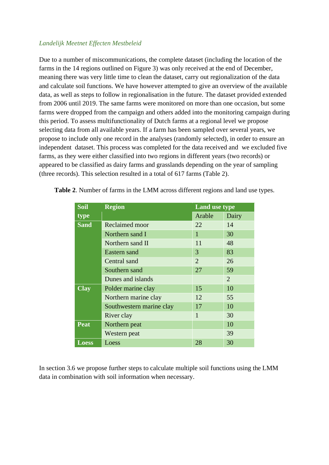#### *Landelijk Meetnet Effecten Mestbeleid*

Due to a number of miscommunications, the complete dataset (including the location of the farms in the 14 regions outlined on Figure 3) was only received at the end of December, meaning there was very little time to clean the dataset, carry out regionalization of the data and calculate soil functions. We have however attempted to give an overview of the available data, as well as steps to follow in regionalisation in the future. The dataset provided extended from 2006 until 2019. The same farms were monitored on more than one occasion, but some farms were dropped from the campaign and others added into the monitoring campaign during this period. To assess multifunctionality of Dutch farms at a regional level we propose selecting data from all available years. If a farm has been sampled over several years, we propose to include only one record in the analyses (randomly selected), in order to ensure an independent dataset. This process was completed for the data received and we excluded five farms, as they were either classified into two regions in different years (two records) or appeared to be classified as dairy farms and grasslands depending on the year of sampling (three records). This selection resulted in a total of 617 farms (Table 2).

| <b>Soil</b>  | <b>Region</b>            | <b>Land use type</b> |                |
|--------------|--------------------------|----------------------|----------------|
| type         |                          | Arable               | Dairy          |
| <b>Sand</b>  | Reclaimed moor           | 22                   | 14             |
|              | Northern sand I          | 1                    | 30             |
|              | Northern sand II         | 11                   | 48             |
|              | Eastern sand             | 3                    | 83             |
|              | Central sand             | $\overline{2}$       | 26             |
|              | Southern sand            | 27                   | 59             |
|              | Dunes and islands        |                      | $\overline{2}$ |
| <b>Clay</b>  | Polder marine clay       | 15                   | 10             |
|              | Northern marine clay     | 12                   | 55             |
|              | Southwestern marine clay | 17                   | 10             |
|              | River clay               | 1                    | 30             |
| Peat         | Northern peat            |                      | 10             |
|              | Western peat             |                      | 39             |
| <b>Loess</b> | Loess                    | 28                   | 30             |

**Table 2**. Number of farms in the LMM across different regions and land use types.

In section 3.6 we propose further steps to calculate multiple soil functions using the LMM data in combination with soil information when necessary.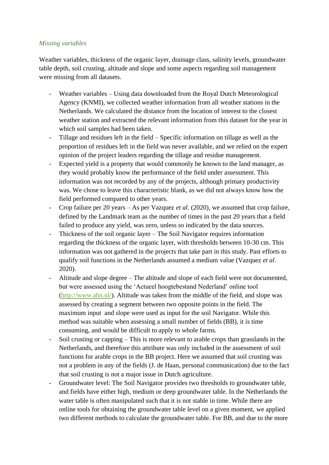#### *Missing variables*

Weather variables, thickness of the organic layer, drainage class, salinity levels, groundwater table depth, soil crusting, altitude and slope and some aspects regarding soil management were missing from all datasets.

- Weather variables Using data downloaded from the Royal Dutch Meteorological Agency (KNMI), we collected weather information from all weather stations in the Netherlands. We calculated the distance from the location of interest to the closest weather station and extracted the relevant information from this dataset for the year in which soil samples had been taken.
- Tillage and residues left in the field Specific information on tillage as well as the proportion of residues left in the field was never available, and we relied on the expert opinion of the project leaders regarding the tillage and residue management.
- Expected yield is a property that would commonly be known to the land manager, as they would probably know the performance of the field under assessment. This information was not recorded by any of the projects, although primary productivity was. We chose to leave this characteristic blank, as we did not always know how the field performed compared to other years.
- Crop failure per 20 years As per Vazquez *et al.* (2020), we assumed that crop failure, defined by the Landmark team as the number of times in the past 20 years that a field failed to produce any yield, was zero, unless so indicated by the data sources.
- Thickness of the soil organic layer The Soil Navigator requires information regarding the thickness of the organic layer, with thresholds between 10-30 cm. This information was not gathered in the projects that take part in this study. Past efforts to qualify soil functions in the Netherlands assumed a medium value (Vazquez *et al*. 2020).
- Altitude and slope degree The altitude and slope of each field were not documented, but were assessed using the 'Actueel hoogtebestand Nederland' online tool [\(http://www.ahn.nl/\)](http://www.ahn.nl/). Altitude was taken from the middle of the field, and slope was assessed by creating a segment between two opposite points in the field. The maximum input and slope were used as input for the soil Navigator. While this method was suitable when assessing a small number of fields (BB), it is time consuming, and would be difficult to apply to whole farms.
- Soil crusting or capping This is more relevant to arable crops than grasslands in the Netherlands, and therefore this attribute was only included in the assessment of soil functions for arable crops in the BB project. Here we assumed that soil crusting was not a problem in any of the fields (J. de Haan, personal communication) due to the fact that soil crusting is not a major issue in Dutch agriculture.
- Groundwater level: The Soil Navigator provides two thresholds to groundwater table, and fields have either high, medium or deep groundwater table. In the Netherlands the water table is often manipulated such that it is not stable in time. While there are online tools for obtaining the groundwater table level on a given moment, we applied two different methods to calculate the groundwater table. For BB, and due to the more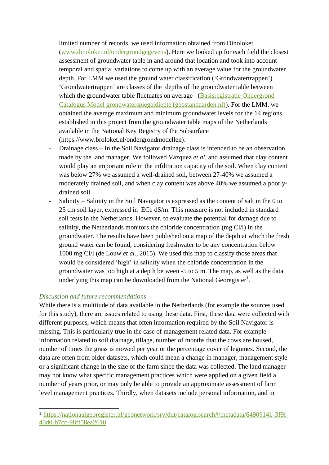limited number of records, we used information obtained from Dinoloket [\(www.dinoloket.nl/ondergrondgegevens\)](http://www.dinoloket.nl/ondergrondgegevens). Here we looked up for each field the closest assessment of groundwater table in and around that location and took into account temporal and spatial variations to come up with an average value for the groundwater depth. For LMM we used the ground water classification ('Grondwatertrappen'). 'Grondwatertrappen' are classes of the depths of the groundwater table between which the groundwater table fluctuates on average (Basisregistratie Ondergrond [Catalogus Model grondwaterspiegeldiepte \(geostandaarden.nl\)\)](https://docs.geostandaarden.nl/bro/wdm/#detail_class_ModelGrondwaterspiegeldiepteWDM_Grondwatertrapklasse). For the LMM, we obtained the average maximum and minimum groundwater levels for the 14 regions established in this project from the groundwater table maps of the Netherlands available in the National Key Registry of the Subsurface (https://www.broloket.nl/ondergrondmodellen).

- Drainage class In the Soil Navigator drainage class is intended to be an observation made by the land manager. We followed Vazquez *et al.* and assumed that clay content would play an important role in the infiltration capacity of the soil. When clay content was below 27% we assumed a well-drained soil, between 27-40% we assumed a moderately drained soil, and when clay content was above 40% we assumed a poorlydrained soil.
- Salinity Salinity in the Soil Navigator is expressed as the content of salt in the 0 to 25 cm soil layer, expressed in ECe dS/m. This measure is not included in standard soil tests in the Netherlands. However, to evaluate the potential for damage due to salinity, the Netherlands monitors the chloride concentration (mg Cl/l) in the groundwater. The results have been published on a map of the depth at which the fresh ground water can be found, considering freshwater to be any concentration below 1000 mg Cl/l (de Louw *et al.*, 2015). We used this map to classify those areas that would be considered 'high' in salinity when the chloride concentration in the groundwater was too high at a depth between -5 to 5 m. The map, as well as the data underlying this map can be downloaded from the National Georegister<sup>1</sup>.

#### *Discussion and future recommendations*

While there is a multitude of data available in the Netherlands (for example the sources used for this study), there are issues related to using these data. First, these data were collected with different purposes, which means that often information required by the Soil Navigator is missing. This is particularly true in the case of management related data. For example information related to soil drainage, tillage, number of months that the cows are housed, number of times the grass is mowed per year or the percentage cover of legumes. Second, the data are often from older datasets, which could mean a change in manager, management style or a significant change in the size of the farm since the data was collected. The land manager may not know what specific management practices which were applied on a given field a number of years prior, or may only be able to provide an approximate assessment of farm level management practices. Thirdly, when datasets include personal information, and in

<sup>1</sup> [https://nationaalgeoregister.nl/geonetwork/srv/dut/catalog.search#/metadata/64909141-3f9f-](https://nationaalgeoregister.nl/geonetwork/srv/dut/catalog.search#/metadata/64909141-3f9f-40d0-b7cc-98ff58ea2610)[40d0-b7cc-98ff58ea2610](https://nationaalgeoregister.nl/geonetwork/srv/dut/catalog.search#/metadata/64909141-3f9f-40d0-b7cc-98ff58ea2610)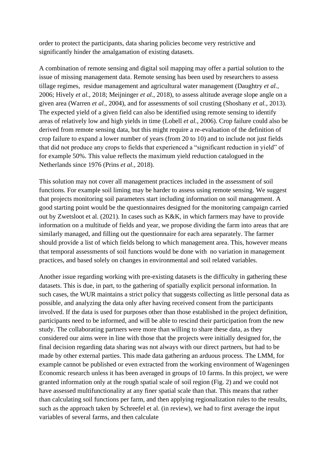order to protect the participants, data sharing policies become very restrictive and significantly hinder the amalgamation of existing datasets.

A combination of remote sensing and digital soil mapping may offer a partial solution to the issue of missing management data. Remote sensing has been used by researchers to assess tillage regimes, residue management and agricultural water management (Daughtry *et al.*, 2006; Hively *et al.*, 2018; Meijninger *et al.*, 2018), to assess altitude average slope angle on a given area (Warren *et al.*, 2004), and for assessments of soil crusting (Shoshany *et al.*, 2013). The expected yield of a given field can also be identified using remote sensing to identify areas of relatively low and high yields in time (Lobell *et al.*, 2006). Crop failure could also be derived from remote sensing data, but this might require a re-evaluation of the definition of crop failure to expand a lower number of years (from 20 to 10) and to include not just fields that did not produce any crops to fields that experienced a "significant reduction in yield" of for example 50%. This value reflects the maximum yield reduction catalogued in the Netherlands since 1976 (Prins *et al.*, 2018).

This solution may not cover all management practices included in the assessment of soil functions. For example soil liming may be harder to assess using remote sensing. We suggest that projects monitoring soil parameters start including information on soil management. A good starting point would be the questionnaires designed for the monitoring campaign carried out by Zwetsloot et al. (2021). In cases such as K&K, in which farmers may have to provide information on a multitude of fields and year, we propose dividing the farm into areas that are similarly managed, and filling out the questionnaire for each area separately. The farmer should provide a list of which fields belong to which management area. This, however means that temporal assessments of soil functions would be done with no variation in management practices, and based solely on changes in environmental and soil related variables.

Another issue regarding working with pre-existing datasets is the difficulty in gathering these datasets. This is due, in part, to the gathering of spatially explicit personal information. In such cases, the WUR maintains a strict policy that suggests collecting as little personal data as possible, and analyzing the data only after having received consent from the participants involved. If the data is used for purposes other than those established in the project definition, participants need to be informed, and will be able to rescind their participation from the new study. The collaborating partners were more than willing to share these data, as they considered our aims were in line with those that the projects were initially designed for, the final decision regarding data sharing was not always with our direct partners, but had to be made by other external parties. This made data gathering an arduous process. The LMM, for example cannot be published or even extracted from the working environment of Wageningen Economic research unless it has been averaged in groups of 10 farms. In this project, we were granted information only at the rough spatial scale of soil region (Fig. 2) and we could not have assessed multifunctionality at any finer spatial scale than that. This means that rather than calculating soil functions per farm, and then applying regionalization rules to the results, such as the approach taken by Schreefel et al. (in review), we had to first average the input variables of several farms, and then calculate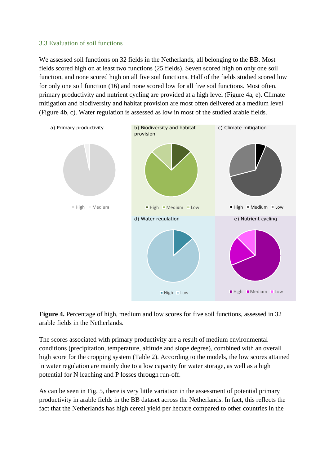#### 3.3 Evaluation of soil functions

We assessed soil functions on 32 fields in the Netherlands, all belonging to the BB. Most fields scored high on at least two functions (25 fields). Seven scored high on only one soil function, and none scored high on all five soil functions. Half of the fields studied scored low for only one soil function (16) and none scored low for all five soil functions. Most often, primary productivity and nutrient cycling are provided at a high level (Figure 4a, e). Climate mitigation and biodiversity and habitat provision are most often delivered at a medium level (Figure 4b, c). Water regulation is assessed as low in most of the studied arable fields.





The scores associated with primary productivity are a result of medium environmental conditions (precipitation, temperature, altitude and slope degree), combined with an overall high score for the cropping system (Table 2). According to the models, the low scores attained in water regulation are mainly due to a low capacity for water storage, as well as a high potential for N leaching and P losses through run-off.

As can be seen in Fig. 5, there is very little variation in the assessment of potential primary productivity in arable fields in the BB dataset across the Netherlands. In fact, this reflects the fact that the Netherlands has high cereal yield per hectare compared to other countries in the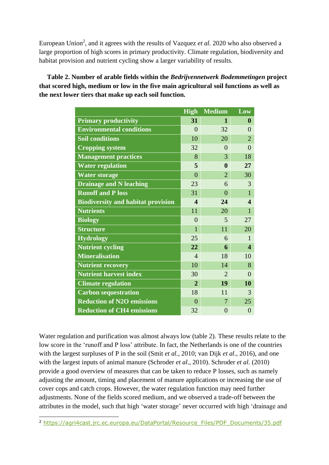European Union<sup>2</sup>, and it agrees with the results of Vazquez *et al.* 2020 who also observed a large proportion of high scores in primary productivity. Climate regulation, biodiversity and habitat provision and nutrient cycling show a larger variability of results.

**Table 2. Number of arable fields within the** *Bedrijvennetwerk Bodemmetingen* **project that scored high, medium or low in the five main agricultural soil functions as well as the next lower tiers that make up each soil function.** 

|                                           | <b>High</b>             | <b>Medium</b>  | Low                     |
|-------------------------------------------|-------------------------|----------------|-------------------------|
| <b>Primary productivity</b>               | 31                      | 1              | $\bf{0}$                |
| <b>Environmental conditions</b>           | $\theta$                | 32             | $\Omega$                |
| <b>Soil conditions</b>                    | 10                      | 20             | $\overline{2}$          |
| <b>Cropping system</b>                    | 32                      | $\theta$       | $\theta$                |
| <b>Management practices</b>               | 8                       | 3              | 18                      |
| <b>Water regulation</b>                   | 5                       | $\mathbf{0}$   | 27                      |
| <b>Water storage</b>                      | $\overline{0}$          | $\overline{2}$ | 30                      |
| <b>Drainage and N leaching</b>            | 23                      | 6              | 3                       |
| <b>Runoff and P loss</b>                  | 31                      | $\theta$       | $\mathbf{1}$            |
| <b>Biodiversity and habitat provision</b> | $\overline{\mathbf{4}}$ | 24             | $\overline{\mathbf{4}}$ |
| <b>Nutrients</b>                          | 11                      | 20             | $\mathbf{1}$            |
| <b>Biology</b>                            | $\theta$                | 5              | 27                      |
| <b>Structure</b>                          | $\mathbf{1}$            | 11             | 20                      |
| <b>Hydrology</b>                          | 25                      | 6              | 1                       |
| <b>Nutrient cycling</b>                   | 22                      | 6              | $\overline{\mathbf{4}}$ |
| <b>Mineralisation</b>                     | $\overline{4}$          | 18             | 10                      |
| <b>Nutrient recovery</b>                  | 10                      | 14             | 8                       |
| <b>Nutrient harvest index</b>             | 30                      | $\overline{2}$ | $\theta$                |
| <b>Climate regulation</b>                 | $\mathbf{2}$            | 19             | 10                      |
| <b>Carbon sequestration</b>               | 18                      | 11             | 3                       |
| <b>Reduction of N2O emissions</b>         | $\theta$                | 7              | 25                      |
| <b>Reduction of CH4 emissions</b>         | 32                      | $\overline{0}$ | $\overline{0}$          |

Water regulation and purification was almost always low (table 2). These results relate to the low score in the 'runoff and P loss' attribute. In fact, the Netherlands is one of the countries with the largest surpluses of P in the soil (Smit *et al.*, 2010; van Dijk *et al.*, 2016), and one with the largest inputs of animal manure (Schroder *et al.*, 2010). Schroder *et al.* (2010) provide a good overview of measures that can be taken to reduce P losses, such as namely adjusting the amount, timing and placement of manure applications or increasing the use of cover cops and catch crops. However, the water regulation function may need further adjustments. None of the fields scored medium, and we observed a trade-off between the attributes in the model, such that high 'water storage' never occurred with high 'drainage and

<sup>2</sup> [https://agri4cast.jrc.ec.europa.eu/DataPortal/Resource\\_Files/PDF\\_Documents/35.pdf](https://eur03.safelinks.protection.outlook.com/?url=https%3A%2F%2Fagri4cast.jrc.ec.europa.eu%2FDataPortal%2FResource_Files%2FPDF_Documents%2F35.pdf&data=04%7C01%7Ccarmen.vazquezmartin%40wur.nl%7Cd0a20fd699b14716489408d9d769cdd0%7C27d137e5761f4dc1af88d26430abb18f%7C0%7C0%7C637777671688296451%7CUnknown%7CTWFpbGZsb3d8eyJWIjoiMC4wLjAwMDAiLCJQIjoiV2luMzIiLCJBTiI6Ik1haWwiLCJXVCI6Mn0%3D%7C3000&sdata=%2BThNlfcF2fJ1EJd%2FLZuu3gKydIe%2FKYkJNIWBXZr7lbQ%3D&reserved=0)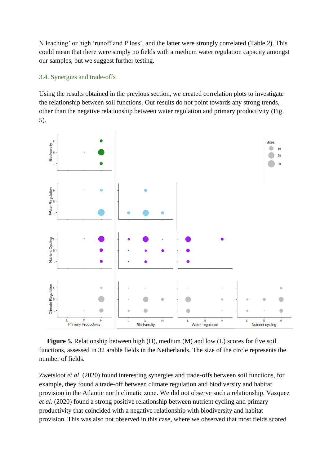N leaching' or high 'runoff and P loss', and the latter were strongly correlated (Table 2). This could mean that there were simply no fields with a medium water regulation capacity amongst our samples, but we suggest further testing.

#### 3.4. Synergies and trade-offs

Using the results obtained in the previous section, we created correlation plots to investigate the relationship between soil functions. Our results do not point towards any strong trends, other than the negative relationship between water regulation and primary productivity (Fig. 5).



**Figure 5.** Relationship between high (H), medium (M) and low (L) scores for five soil functions, assessed in 32 arable fields in the Netherlands. The size of the circle represents the number of fields.

Zwetsloot *et al*. (2020) found interesting synergies and trade-offs between soil functions, for example, they found a trade-off between climate regulation and biodiversity and habitat provision in the Atlantic north climatic zone. We did not observe such a relationship. Vazquez *et al*. (2020) found a strong positive relationship between nutrient cycling and primary productivity that coincided with a negative relationship with biodiversity and habitat provision. This was also not observed in this case, where we observed that most fields scored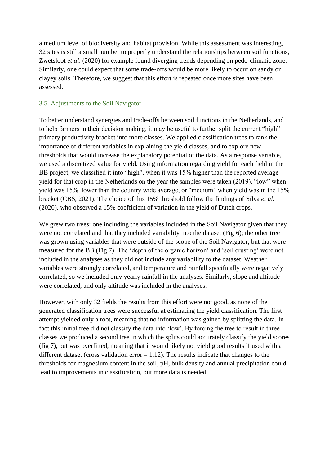a medium level of biodiversity and habitat provision. While this assessment was interesting, 32 sites is still a small number to properly understand the relationships between soil functions, Zwetsloot *et al*. (2020) for example found diverging trends depending on pedo-climatic zone. Similarly, one could expect that some trade-offs would be more likely to occur on sandy or clayey soils. Therefore, we suggest that this effort is repeated once more sites have been assessed.

#### 3.5. Adjustments to the Soil Navigator

To better understand synergies and trade-offs between soil functions in the Netherlands, and to help farmers in their decision making, it may be useful to further split the current "high" primary productivity bracket into more classes. We applied classification trees to rank the importance of different variables in explaining the yield classes, and to explore new thresholds that would increase the explanatory potential of the data. As a response variable, we used a discretized value for yield. Using information regarding yield for each field in the BB project, we classified it into "high", when it was 15% higher than the reported average yield for that crop in the Netherlands on the year the samples were taken (2019), "low" when yield was 15% lower than the country wide average, or "medium" when yield was in the 15% bracket (CBS, 2021). The choice of this 15% threshold follow the findings of Silva *et al.* (2020), who observed a 15% coefficient of variation in the yield of Dutch crops.

We grew two trees: one including the variables included in the Soil Navigator given that they were not correlated and that they included variability into the dataset (Fig 6); the other tree was grown using variables that were outside of the scope of the Soil Navigator, but that were measured for the BB (Fig 7). The 'depth of the organic horizon' and 'soil crusting' were not included in the analyses as they did not include any variability to the dataset. Weather variables were strongly correlated, and temperature and rainfall specifically were negatively correlated, so we included only yearly rainfall in the analyses. Similarly, slope and altitude were correlated, and only altitude was included in the analyses.

However, with only 32 fields the results from this effort were not good, as none of the generated classification trees were successful at estimating the yield classification. The first attempt yielded only a root, meaning that no information was gained by splitting the data. In fact this initial tree did not classify the data into 'low'. By forcing the tree to result in three classes we produced a second tree in which the splits could accurately classify the yield scores (fig 7), but was overfitted, meaning that it would likely not yield good results if used with a different dataset (cross validation error  $= 1.12$ ). The results indicate that changes to the thresholds for magnesium content in the soil, pH, bulk density and annual precipitation could lead to improvements in classification, but more data is needed.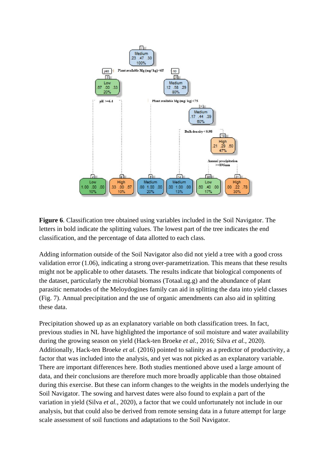

**Figure 6**. Classification tree obtained using variables included in the Soil Navigator. The letters in bold indicate the splitting values. The lowest part of the tree indicates the end classification, and the percentage of data allotted to each class.

Adding information outside of the Soil Navigator also did not yield a tree with a good cross validation error (1.06), indicating a strong over-parametrization. This means that these results might not be applicable to other datasets. The results indicate that biological components of the dataset, particularly the microbial biomass (Totaal.ug.g) and the abundance of plant parasitic nematodes of the Meloydogines family can aid in splitting the data into yield classes (Fig. 7). Annual precipitation and the use of organic amendments can also aid in splitting these data.

Precipitation showed up as an explanatory variable on both classification trees. In fact, previous studies in NL have highlighted the importance of soil moisture and water availability during the growing season on yield (Hack-ten Broeke *et al.*, 2016; Silva *et al.*, 2020). Additionally, Hack-ten Broeke *et al.* (2016) pointed to salinity as a predictor of productivity, a factor that was included into the analysis, and yet was not picked as an explanatory variable. There are important differences here. Both studies mentioned above used a large amount of data, and their conclusions are therefore much more broadly applicable than those obtained during this exercise. But these can inform changes to the weights in the models underlying the Soil Navigator. The sowing and harvest dates were also found to explain a part of the variation in yield (Silva *et al.*, 2020), a factor that we could unfortunately not include in our analysis, but that could also be derived from remote sensing data in a future attempt for large scale assessment of soil functions and adaptations to the Soil Navigator.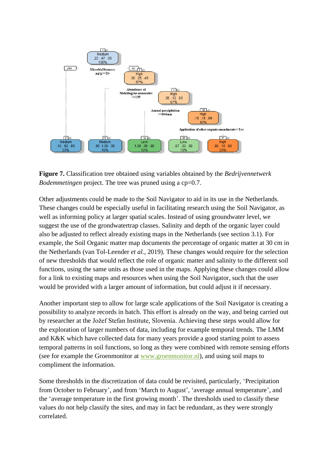

**Figure 7.** Classification tree obtained using variables obtained by the *Bedrijvennetwerk Bodemmetingen* project. The tree was pruned using a cp=0.7.

Other adjustments could be made to the Soil Navigator to aid in its use in the Netherlands. These changes could be especially useful in facilitating research using the Soil Navigator, as well as informing policy at larger spatial scales. Instead of using groundwater level, we suggest the use of the grondwatertrap classes. Salinity and depth of the organic layer could also be adjusted to reflect already existing maps in the Netherlands (see section 3.1). For example, the Soil Organic matter map documents the percentage of organic matter at 30 cm in the Netherlands (van Tol-Leender *et al.*, 2019). These changes would require for the selection of new thresholds that would reflect the role of organic matter and salinity to the different soil functions, using the same units as those used in the maps. Applying these changes could allow for a link to existing maps and resources when using the Soil Navigator, such that the user would be provided with a larger amount of information, but could adjust it if necessary.

Another important step to allow for large scale applications of the Soil Navigator is creating a possibility to analyze records in batch. This effort is already on the way, and being carried out by researcher at the Jožef Stefan Institute, Slovenia. Achieving these steps would allow for the exploration of larger numbers of data, including for example temporal trends. The LMM and K&K which have collected data for many years provide a good starting point to assess temporal patterns in soil functions, so long as they were combined with remote sensing efforts (see for example the Groenmonitor at [www.groenmonitor.nl\)](http://www.groenmonitor.nl/), and using soil maps to compliment the information.

Some thresholds in the discretization of data could be revisited, particularly, 'Precipitation from October to February', and from 'March to August', 'average annual temperature', and the 'average temperature in the first growing month'. The thresholds used to classify these values do not help classify the sites, and may in fact be redundant, as they were strongly correlated.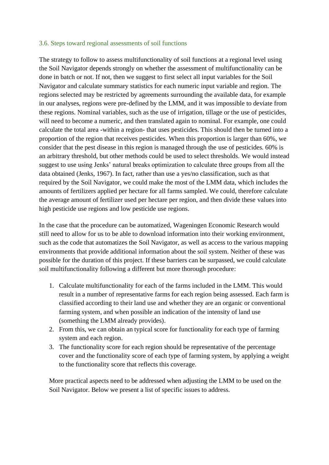#### 3.6. Steps toward regional assessments of soil functions

The strategy to follow to assess multifunctionality of soil functions at a regional level using the Soil Navigator depends strongly on whether the assessment of multifunctionality can be done in batch or not. If not, then we suggest to first select all input variables for the Soil Navigator and calculate summary statistics for each numeric input variable and region. The regions selected may be restricted by agreements surrounding the available data, for example in our analyses, regions were pre-defined by the LMM, and it was impossible to deviate from these regions. Nominal variables, such as the use of irrigation, tillage or the use of pesticides, will need to become a numeric, and then translated again to nominal. For example, one could calculate the total area -within a region- that uses pesticides. This should then be turned into a proportion of the region that receives pesticides. When this proportion is larger than 60%, we consider that the pest disease in this region is managed through the use of pesticides. 60% is an arbitrary threshold, but other methods could be used to select thresholds. We would instead suggest to use using Jenks' natural breaks optimization to calculate three groups from all the data obtained (Jenks, 1967). In fact, rather than use a yes/no classification, such as that required by the Soil Navigator, we could make the most of the LMM data, which includes the amounts of fertilizers applied per hectare for all farms sampled. We could, therefore calculate the average amount of fertilizer used per hectare per region, and then divide these values into high pesticide use regions and low pesticide use regions.

In the case that the procedure can be automatized, Wageningen Economic Research would still need to allow for us to be able to download information into their working environment, such as the code that automatizes the Soil Navigator, as well as access to the various mapping environments that provide additional information about the soil system. Neither of these was possible for the duration of this project. If these barriers can be surpassed, we could calculate soil multifunctionality following a different but more thorough procedure:

- 1. Calculate multifunctionality for each of the farms included in the LMM. This would result in a number of representative farms for each region being assessed. Each farm is classified according to their land use and whether they are an organic or conventional farming system, and when possible an indication of the intensity of land use (something the LMM already provides).
- 2. From this, we can obtain an typical score for functionality for each type of farming system and each region.
- 3. The functionality score for each region should be representative of the percentage cover and the functionality score of each type of farming system, by applying a weight to the functionality score that reflects this coverage.

More practical aspects need to be addressed when adjusting the LMM to be used on the Soil Navigator. Below we present a list of specific issues to address.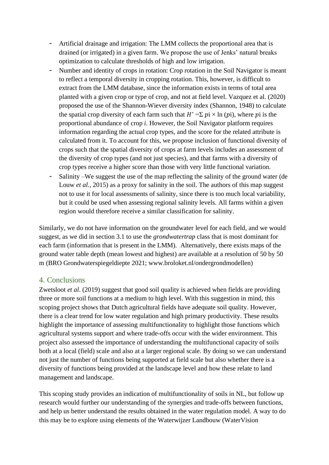- Artificial drainage and irrigation: The LMM collects the proportional area that is drained (or irrigated) in a given farm. We propose the use of Jenks' natural breaks optimization to calculate thresholds of high and low irrigation.
- Number and identity of crops in rotation: Crop rotation in the Soil Navigator is meant to reflect a temporal diversity in cropping rotation. This, however, is difficult to extract from the LMM database, since the information exists in terms of total area planted with a given crop or type of crop, and not at field level. Vazquez et al. (2020) proposed the use of the Shannon-Wiever diversity index (Shannon, 1948) to calculate the spatial crop diversity of each farm such that  $H' = \sum p_i \times \ln(p_i)$ , where pi is the proportional abundance of crop *i*. However, the Soil Navigator platform requires information regarding the actual crop types, and the score for the related attribute is calculated from it. To account for this, we propose inclusion of functional diversity of crops such that the spatial diversity of crops at farm levels includes an assessment of the diversity of crop types (and not just species), and that farms with a diversity of crop types receive a higher score than those with very little functional variation.
- Salinity –We suggest the use of the map reflecting the salinity of the ground water (de Louw *et al.*, 2015) as a proxy for salinity in the soil. The authors of this map suggest not to use it for local assessments of salinity, since there is too much local variability, but it could be used when assessing regional salinity levels. All farms within a given region would therefore receive a similar classification for salinity.

Similarly, we do not have information on the groundwater level for each field, and we would suggest, as we did in section 3.1 to use the *grondwatertrap* class that is most dominant for each farm (information that is present in the LMM). Alternatively, there exists maps of the ground water table depth (mean lowest and highest) are available at a resolution of 50 by 50 m (BRO Grondwaterspiegeldiepte 2021; [www.broloket.nl/ondergrondmodellen\)](https://www.broloket.nl/ondergrondmodellen)

# 4. Conclusions

Zwetsloot *et al*. (2019) suggest that good soil quality is achieved when fields are providing three or more soil functions at a medium to high level. With this suggestion in mind, this scoping project shows that Dutch agricultural fields have adequate soil quality. However, there is a clear trend for low water regulation and high primary productivity. These results highlight the importance of assessing multifunctionality to highlight those functions which agricultural systems support and where trade-offs occur with the wider environment. This project also assessed the importance of understanding the multifunctional capacity of soils both at a local (field) scale and also at a larger regional scale. By doing so we can understand not just the number of functions being supported at field scale but also whether there is a diversity of functions being provided at the landscape level and how these relate to land management and landscape.

This scoping study provides an indication of multifunctionality of soils in NL, but follow up research would further our understanding of the synergies and trade-offs between functions, and help us better understand the results obtained in the water regulation model. A way to do this may be to explore using elements of the Waterwijzer Landbouw (WaterVision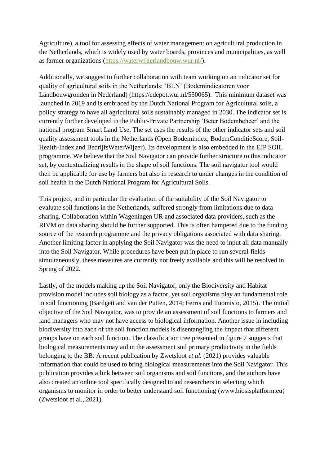Agriculture), a tool for assessing effects of water management on agricultural production in the Netherlands, which is widely used by water boards, provinces and municipalities, as well as farmer organizations [\(https://waterwijzerlandbouw.wur.nl/\)](https://waterwijzerlandbouw.wur.nl/).

Additionally, we suggest to further collaboration with team working on an indicator set for quality of agricultural soils in the Netherlands: 'BLN' (Bodemindicatoren voor Landbouwgronden in Nederland) (https://edepot.wur.nl/550065). This minimum dataset was launched in 2019 and is embraced by the Dutch National Program for Agricultural soils, a policy strategy to have all agricultural soils sustainably managed in 2030. The indicator set is currently further developed in the Public-Private Partnership 'Beter Bodembeheer' and the national program Smart Land Use. The set uses the results of the other indicator sets and soil quality assessment tools in the Netherlands (Open Bodemindex, BodemConditieScore, Soil-Health-Index and BedrijfsWaterWijzer). Its development is also embedded in the EJP SOIL programme. We believe that the Soil Navigator can provide further structure to this indicator set, by contextualizing results in the shape of soil functions. The soil navigator tool would then be applicable for use by farmers but also in research to under changes in the condition of soil health in the Dutch National Program for Agricultural Soils.

This project, and in particular the evaluation of the suitability of the Soil Navigator to evaluate soil functions in the Netherlands, suffered strongly from limitations due to data sharing. Collaboration within Wageningen UR and associated data providers, such as the RIVM on data sharing should be further supported. This is often hampered due to the funding source of the research programme and the privacy obligations associated with data sharing. Another limiting factor in applying the Soil Navigator was the need to input all data manually into the Soil Navigator. While procedures have been put in place to run several fields simultaneously, these measures are currently not freely available and this will be resolved in Spring of 2022.

Lastly, of the models making up the Soil Navigator, only the Biodiversity and Habitat provision model includes soil biology as a factor, yet soil organisms play an fundamental role in soil functioning (Bardgett and van der Putten, 2014; Ferris and Tuomisto, 2015). The initial objective of the Soil Navigator, was to provide an assessment of soil functions to farmers and land managers who may not have access to biological information. Another issue in including biodiversity into each of the soil function models is disentangling the impact that different groups have on each soil function. The classification tree presented in figure 7 suggests that biological measurements may aid in the assessment soil primary productivity in the fields belonging to the BB. A recent publication by Zwetsloot *et al.* (2021) provides valuable information that could be used to bring biological measurements into the Soil Navigator. This publication provides a link between soil organisms and soil functions, and the authors have also created an online tool specifically designed to aid researchers in selecting which organisms to monitor in order to better understand soil functioning [\(www.biosisplatform.eu\)](http://www.biosisplatform.eu/) (Zwetsloot et al., 2021).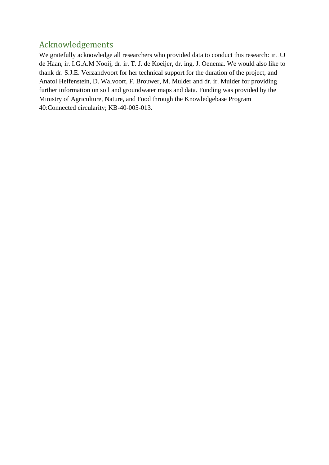# Acknowledgements

We gratefully acknowledge all researchers who provided data to conduct this research: ir. J.J de Haan, ir. I.G.A.M Nooij, dr. ir. T. J. de Koeijer, dr. ing. J. Oenema. We would also like to thank dr. S.J.E. Verzandvoort for her technical support for the duration of the project, and Anatol Helfenstein, D. Walvoort, F. Brouwer, M. Mulder and dr. ir. Mulder for providing further information on soil and groundwater maps and data. Funding was provided by the Ministry of Agriculture, Nature, and Food through the Knowledgebase Program 40:Connected circularity; KB-40-005-013.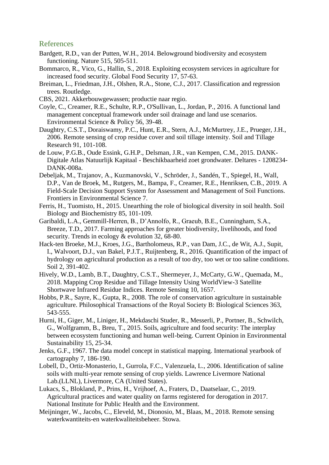#### References

- Bardgett, R.D., van der Putten, W.H., 2014. Belowground biodiversity and ecosystem functioning. Nature 515, 505-511.
- Bommarco, R., Vico, G., Hallin, S., 2018. Exploiting ecosystem services in agriculture for increased food security. Global Food Security 17, 57-63.
- Breiman, L., Friedman, J.H., Olshen, R.A., Stone, C.J., 2017. Classification and regression trees. Routledge.
- CBS, 2021. Akkerbouwgewassen; productie naar regio.
- Coyle, C., Creamer, R.E., Schulte, R.P., O'Sullivan, L., Jordan, P., 2016. A functional land management conceptual framework under soil drainage and land use scenarios. Environmental Science & Policy 56, 39-48.
- Daughtry, C.S.T., Doraiswamy, P.C., Hunt, E.R., Stern, A.J., McMurtrey, J.E., Prueger, J.H., 2006. Remote sensing of crop residue cover and soil tillage intensity. Soil and Tillage Research 91, 101-108.
- de Louw, P.G.B., Oude Essink, G.H.P., Delsman, J.R., van Kempen, C.M., 2015. DANK-Digitale Atlas Natuurlijk Kapitaal - Beschikbaarheid zoet grondwater. Deltares - 1208234- DANK-008a.
- Debeljak, M., Trajanov, A., Kuzmanovski, V., Schröder, J., Sandén, T., Spiegel, H., Wall, D.P., Van de Broek, M., Rutgers, M., Bampa, F., Creamer, R.E., Henriksen, C.B., 2019. A Field-Scale Decision Support System for Assessment and Management of Soil Functions. Frontiers in Environmental Science 7.
- Ferris, H., Tuomisto, H., 2015. Unearthing the role of biological diversity in soil health. Soil Biology and Biochemistry 85, 101-109.
- Garibaldi, L.A., Gemmill-Herren, B., D'Annolfo, R., Graeub, B.E., Cunningham, S.A., Breeze, T.D., 2017. Farming approaches for greater biodiversity, livelihoods, and food security. Trends in ecology & evolution 32, 68-80.
- Hack-ten Broeke, M.J., Kroes, J.G., Bartholomeus, R.P., van Dam, J.C., de Wit, A.J., Supit, I., Walvoort, D.J., van Bakel, P.J.T., Ruijtenberg, R., 2016. Quantification of the impact of hydrology on agricultural production as a result of too dry, too wet or too saline conditions. Soil 2, 391-402.
- Hively, W.D., Lamb, B.T., Daughtry, C.S.T., Shermeyer, J., McCarty, G.W., Quemada, M., 2018. Mapping Crop Residue and Tillage Intensity Using WorldView-3 Satellite Shortwave Infrared Residue Indices. Remote Sensing 10, 1657.
- Hobbs, P.R., Sayre, K., Gupta, R., 2008. The role of conservation agriculture in sustainable agriculture. Philosophical Transactions of the Royal Society B: Biological Sciences 363, 543-555.
- Hurni, H., Giger, M., Liniger, H., Mekdaschi Studer, R., Messerli, P., Portner, B., Schwilch, G., Wolfgramm, B., Breu, T., 2015. Soils, agriculture and food security: The interplay between ecosystem functioning and human well-being. Current Opinion in Environmental Sustainability 15, 25-34.
- Jenks, G.F., 1967. The data model concept in statistical mapping. International yearbook of cartography 7, 186-190.
- Lobell, D., Ortiz-Monasterio, I., Gurrola, F.C., Valenzuela, L., 2006. Identification of saline soils with multi-year remote sensing of crop yields. Lawrence Livermore National Lab.(LLNL), Livermore, CA (United States).
- Lukacs, S., Blokland, P., Prins, H., Vrijhoef, A., Fraters, D., Daatselaar, C., 2019. Agricultural practices and water quality on farms registered for derogation in 2017. National Institute for Public Health and the Environment.
- Meijninger, W., Jacobs, C., Eleveld, M., Dionosio, M., Blaas, M., 2018. Remote sensing waterkwantiteits-en waterkwaliteitsbeheer. Stowa.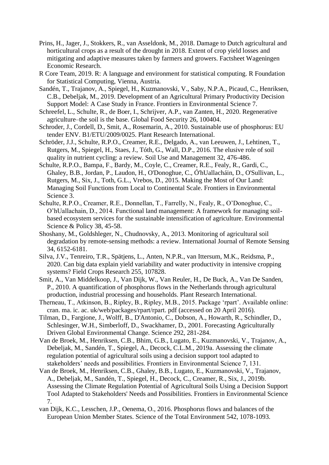- Prins, H., Jager, J., Stokkers, R., van Asseldonk, M., 2018. Damage to Dutch agricultural and horticultural crops as a result of the drought in 2018. Extent of crop yield losses and mitigating and adaptive measures taken by farmers and growers. Factsheet Wageningen Economic Research.
- R Core Team, 2019. R: A language and environment for statistical computing. R Foundation for Statistical Computing, Vienna, Austria.
- Sandén, T., Trajanov, A., Spiegel, H., Kuzmanovski, V., Saby, N.P.A., Picaud, C., Henriksen, C.B., Debeljak, M., 2019. Development of an Agricultural Primary Productivity Decision Support Model: A Case Study in France. Frontiers in Environmental Science 7.
- Schreefel, L., Schulte, R., de Boer, I., Schrijver, A.P., van Zanten, H., 2020. Regenerative agriculture–the soil is the base. Global Food Security 26, 100404.
- Schroder, J., Cordell, D., Smit, A., Rosemarin, A., 2010. Sustainable use of phosphorus: EU tender ENV. B1/ETU/2009/0025. Plant Research International.
- Schröder, J.J., Schulte, R.P.O., Creamer, R.E., Delgado, A., van Leeuwen, J., Lehtinen, T., Rutgers, M., Spiegel, H., Staes, J., Tóth, G., Wall, D.P., 2016. The elusive role of soil quality in nutrient cycling: a review. Soil Use and Management 32, 476-486.
- Schulte, R.P.O., Bampa, F., Bardy, M., Coyle, C., Creamer, R.E., Fealy, R., Gardi, C., Ghaley, B.B., Jordan, P., Laudon, H., O'Donoghue, C., Ó'hUallacháin, D., O'Sullivan, L., Rutgers, M., Six, J., Toth, G.L., Vrebos, D., 2015. Making the Most of Our Land: Managing Soil Functions from Local to Continental Scale. Frontiers in Environmental Science 3.
- Schulte, R.P.O., Creamer, R.E., Donnellan, T., Farrelly, N., Fealy, R., O'Donoghue, C., O'hUallachain, D., 2014. Functional land management: A framework for managing soilbased ecosystem services for the sustainable intensification of agriculture. Environmental Science & Policy 38, 45-58.
- Shoshany, M., Goldshleger, N., Chudnovsky, A., 2013. Monitoring of agricultural soil degradation by remote-sensing methods: a review. International Journal of Remote Sensing 34, 6152-6181.
- Silva, J.V., Tenreiro, T.R., Spätjens, L., Anten, N.P.R., van Ittersum, M.K., Reidsma, P., 2020. Can big data explain yield variability and water productivity in intensive cropping systems? Field Crops Research 255, 107828.
- Smit, A., Van Middelkoop, J., Van Dijk, W., Van Reuler, H., De Buck, A., Van De Sanden, P., 2010. A quantification of phosphorus flows in the Netherlands through agricultural production, industrial processing and households. Plant Research International.
- Therneau, T., Atkinson, B., Ripley, B., Ripley, M.B., 2015. Package 'rpart'. Available online: cran. ma. ic. ac. uk/web/packages/rpart/rpart. pdf (accessed on 20 April 2016).
- Tilman, D., Fargione, J., Wolff, B., D'Antonio, C., Dobson, A., Howarth, R., Schindler, D., Schlesinger, W.H., Simberloff, D., Swackhamer, D., 2001. Forecasting Agriculturally Driven Global Environmental Change. Science 292, 281-284.
- Van de Broek, M., Henriksen, C.B., Bhim, G.B., Lugato, E., Kuzmanovski, V., Trajanov, A., Debeljak, M., Sandén, T., Spiegel, A., Decock, C.L.M., 2019a. Assessing the climate regulation potential of agricultural soils using a decision support tool adapted to stakeholders' needs and possibilities. Frontiers in Environmental Science 7, 131.
- Van de Broek, M., Henriksen, C.B., Ghaley, B.B., Lugato, E., Kuzmanovski, V., Trajanov, A., Debeljak, M., Sandén, T., Spiegel, H., Decock, C., Creamer, R., Six, J., 2019b. Assessing the Climate Regulation Potential of Agricultural Soils Using a Decision Support Tool Adapted to Stakeholders' Needs and Possibilities. Frontiers in Environmental Science 7.
- van Dijk, K.C., Lesschen, J.P., Oenema, O., 2016. Phosphorus flows and balances of the European Union Member States. Science of the Total Environment 542, 1078-1093.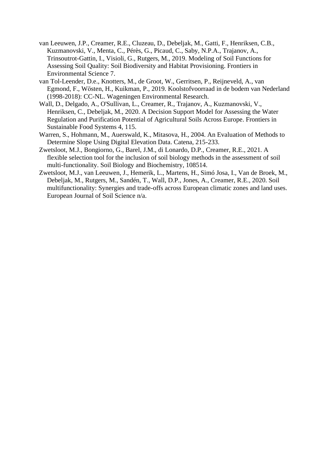- van Leeuwen, J.P., Creamer, R.E., Cluzeau, D., Debeljak, M., Gatti, F., Henriksen, C.B., Kuzmanovski, V., Menta, C., Pérès, G., Picaud, C., Saby, N.P.A., Trajanov, A., Trinsoutrot-Gattin, I., Visioli, G., Rutgers, M., 2019. Modeling of Soil Functions for Assessing Soil Quality: Soil Biodiversity and Habitat Provisioning. Frontiers in Environmental Science 7.
- van Tol-Leender, D.e., Knotters, M., de Groot, W., Gerritsen, P., Reijneveld, A., van Egmond, F., Wösten, H., Kuikman, P., 2019. Koolstofvoorraad in de bodem van Nederland (1998-2018): CC-NL. Wageningen Environmental Research.
- Wall, D., Delgado, A., O'Sullivan, L., Creamer, R., Trajanov, A., Kuzmanovski, V., Henriksen, C., Debeljak, M., 2020. A Decision Support Model for Assessing the Water Regulation and Purification Potential of Agricultural Soils Across Europe. Frontiers in Sustainable Food Systems 4, 115.
- Warren, S., Hohmann, M., Auerswald, K., Mitasova, H., 2004. An Evaluation of Methods to Determine Slope Using Digital Elevation Data. Catena, 215-233.
- Zwetsloot, M.J., Bongiorno, G., Barel, J.M., di Lonardo, D.P., Creamer, R.E., 2021. A flexible selection tool for the inclusion of soil biology methods in the assessment of soil multi-functionality. Soil Biology and Biochemistry, 108514.
- Zwetsloot, M.J., van Leeuwen, J., Hemerik, L., Martens, H., Simó Josa, I., Van de Broek, M., Debeljak, M., Rutgers, M., Sandén, T., Wall, D.P., Jones, A., Creamer, R.E., 2020. Soil multifunctionality: Synergies and trade-offs across European climatic zones and land uses. European Journal of Soil Science n/a.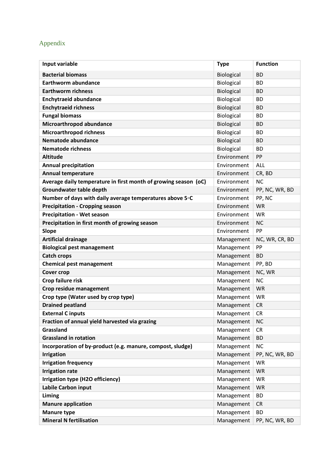# Appendix

| Input variable                                                  | <b>Type</b> | <b>Function</b> |
|-----------------------------------------------------------------|-------------|-----------------|
| <b>Bacterial biomass</b>                                        | Biological  | <b>BD</b>       |
| <b>Earthworm abundance</b>                                      | Biological  | <b>BD</b>       |
| <b>Earthworm richness</b>                                       | Biological  | <b>BD</b>       |
| <b>Enchytraeid abundance</b>                                    | Biological  | <b>BD</b>       |
| <b>Enchytraeid richness</b>                                     | Biological  | <b>BD</b>       |
| <b>Fungal biomass</b>                                           | Biological  | <b>BD</b>       |
| Microarthropod abundance                                        | Biological  | <b>BD</b>       |
| <b>Microarthropod richness</b>                                  | Biological  | <b>BD</b>       |
| <b>Nematode abundance</b>                                       | Biological  | <b>BD</b>       |
| <b>Nematode richness</b>                                        | Biological  | <b>BD</b>       |
| <b>Altitude</b>                                                 | Environment | PP              |
| <b>Annual precipitation</b>                                     | Environment | ALL             |
| <b>Annual temperature</b>                                       | Environment | CR, BD          |
| Average daily temperature in first month of growing season (oC) | Environment | <b>NC</b>       |
| <b>Groundwater table depth</b>                                  | Environment | PP, NC, WR, BD  |
| Number of days with daily average temperatures above 5°C        | Environment | PP, NC          |
| <b>Precipitation - Cropping season</b>                          | Environment | <b>WR</b>       |
| <b>Precipitation - Wet season</b>                               | Environment | <b>WR</b>       |
| Precipitation in first month of growing season                  | Environment | <b>NC</b>       |
| <b>Slope</b>                                                    | Environment | PP              |
| <b>Artificial drainage</b>                                      | Management  | NC, WR, CR, BD  |
| <b>Biological pest management</b>                               | Management  | PP              |
| <b>Catch crops</b>                                              | Management  | <b>BD</b>       |
| <b>Chemical pest management</b>                                 | Management  | PP, BD          |
| <b>Cover crop</b>                                               | Management  | NC, WR          |
| Crop failure risk                                               | Management  | <b>NC</b>       |
| Crop residue management                                         | Management  | <b>WR</b>       |
| Crop type (Water used by crop type)                             | Management  | <b>WR</b>       |
| <b>Drained peatland</b>                                         | Management  | <b>CR</b>       |
| <b>External Cinputs</b>                                         | Management  | <b>CR</b>       |
| Fraction of annual yield harvested via grazing                  | Management  | <b>NC</b>       |
| Grassland                                                       | Management  | <b>CR</b>       |
| <b>Grassland in rotation</b>                                    | Management  | <b>BD</b>       |
| Incorporation of by-product (e.g. manure, compost, sludge)      | Management  | <b>NC</b>       |
| <b>Irrigation</b>                                               | Management  | PP, NC, WR, BD  |
| <b>Irrigation frequency</b>                                     | Management  | <b>WR</b>       |
| <b>Irrigation rate</b>                                          | Management  | <b>WR</b>       |
| Irrigation type (H2O efficiency)                                | Management  | <b>WR</b>       |
| Labile Carbon input                                             | Management  | <b>WR</b>       |
| Liming                                                          | Management  | <b>BD</b>       |
| <b>Manure application</b>                                       | Management  | <b>CR</b>       |
| <b>Manure type</b>                                              | Management  | <b>BD</b>       |
| <b>Mineral N fertilisation</b>                                  | Management  | PP, NC, WR, BD  |